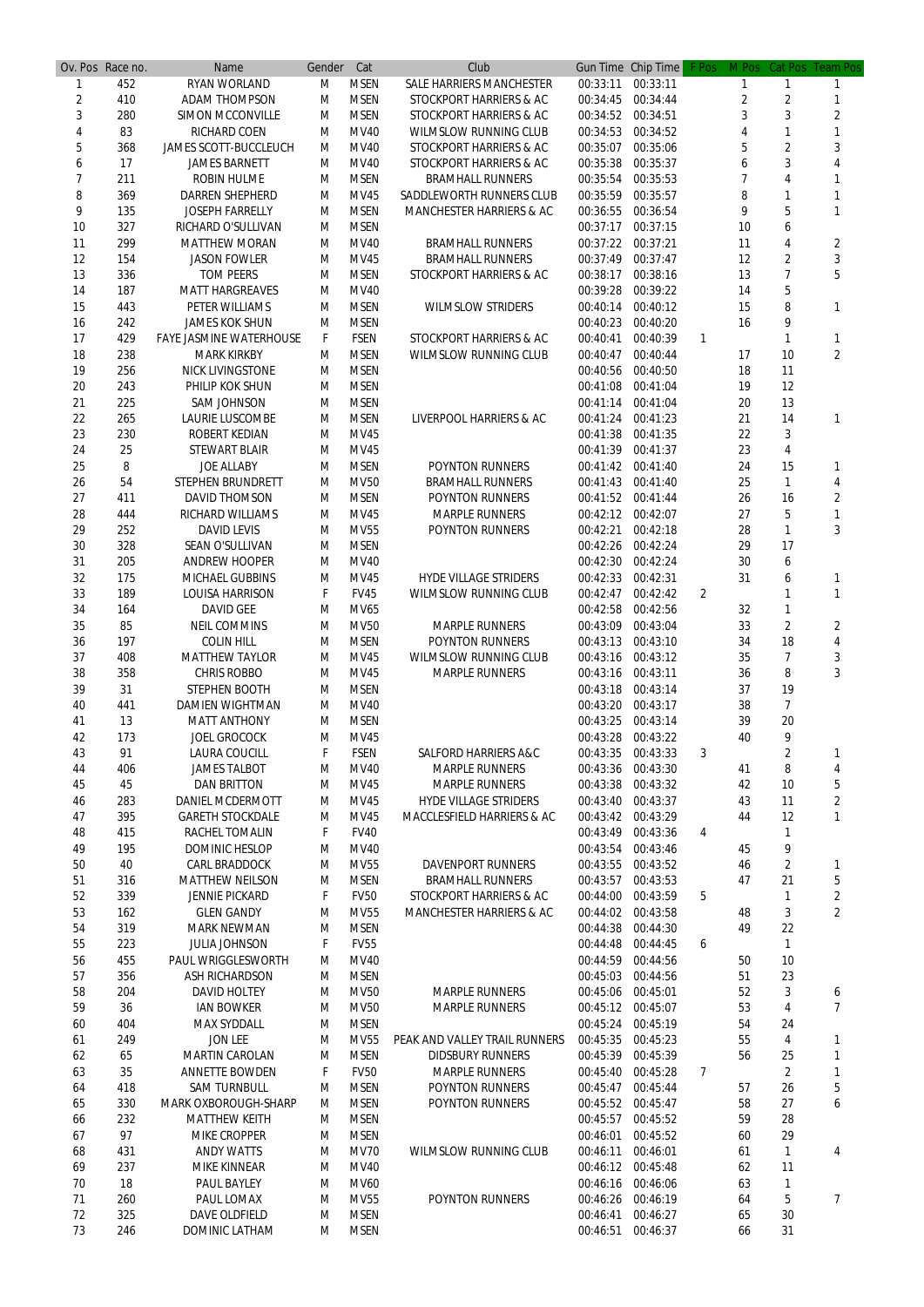|                | Ov. Pos Race no. | Name                           | Gender | Cat         | Club                                  |          | Gun Time Chip Time | F Pos          | M Pos          |                | Cat Pos Team Pos |
|----------------|------------------|--------------------------------|--------|-------------|---------------------------------------|----------|--------------------|----------------|----------------|----------------|------------------|
|                | 452              | <b>RYAN WORLAND</b>            | M      | <b>MSEN</b> | <b>SALE HARRIERS MANCHESTER</b>       | 00:33:11 | 00:33:11           |                |                |                |                  |
| $\overline{2}$ | 410              | <b>ADAM THOMPSON</b>           | M      | <b>MSEN</b> | STOCKPORT HARRIERS & AC               | 00:34:45 | 00:34:44           |                | $\overline{2}$ | $\overline{2}$ |                  |
| 3              | 280              | <b>SIMON MCCONVILLE</b>        | M      | <b>MSEN</b> | <b>STOCKPORT HARRIERS &amp; AC</b>    | 00:34:52 | 00:34:51           |                | 3              | 3              | 2                |
| 4              | 83               | <b>RICHARD COEN</b>            | M      | <b>MV40</b> | <b>WILMSLOW RUNNING CLUB</b>          | 00:34:53 | 00:34:52           |                | 4              | $\mathbf{1}$   |                  |
| 5              | 368              | <b>JAMES SCOTT-BUCCLEUCH</b>   | M      | <b>MV40</b> | STOCKPORT HARRIERS & AC               | 00:35:07 | 00:35:06           |                | 5              | $\overline{2}$ | 3                |
| 6              | 17               | <b>JAMES BARNETT</b>           | M      | MV40        | STOCKPORT HARRIERS & AC               | 00:35:38 | 00:35:37           |                | 6              | 3              |                  |
| $\overline{7}$ | 211              | <b>ROBIN HULME</b>             | M      | <b>MSEN</b> | <b>BRAMHALL RUNNERS</b>               | 00:35:54 | 00:35:53           |                |                | 4              |                  |
| 8              | 369              | <b>DARREN SHEPHERD</b>         | M      | <b>MV45</b> | <b>SADDLEWORTH RUNNERS CLUB</b>       | 00:35:59 | 00:35:57           |                | 8              |                |                  |
| 9              | 135              | <b>JOSEPH FARRELLY</b>         |        | <b>MSEN</b> |                                       |          | 00:36:54           |                | 9              | 5              |                  |
|                |                  |                                | M      |             | <b>MANCHESTER HARRIERS &amp; AC</b>   | 00:36:55 |                    |                |                |                |                  |
| 10             | 327              | RICHARD O'SULLIVAN             | M      | <b>MSEN</b> |                                       | 00:37:17 | 00:37:15           |                | 10             | 6              |                  |
| 11             | 299              | <b>MATTHEW MORAN</b>           | M      | <b>MV40</b> | <b>BRAMHALL RUNNERS</b>               | 00:37:22 | 00:37:21           |                | 11             | 4              | $\overline{2}$   |
| 12             | 154              | <b>JASON FOWLER</b>            | M      | <b>MV45</b> | <b>BRAMHALL RUNNERS</b>               | 00:37:49 | 00:37:47           |                | 12             | $\overline{2}$ | 3                |
| 13             | 336              | <b>TOM PEERS</b>               | м      | <b>MSEN</b> | STOCKPORT HARRIERS & AC               | 00:38:17 | 00:38:16           |                | 13             | $\overline{7}$ | 5                |
| 14             | 187              | <b>MATT HARGREAVES</b>         | M      | <b>MV40</b> |                                       | 00:39:28 | 00:39:22           |                | 14             | 5              |                  |
| 15             | 443              | PETER WILLIAMS                 | M      | <b>MSEN</b> | <b>WILMSLOW STRIDERS</b>              | 00:40:14 | 00:40:12           |                | 15             | 8              | 1                |
| 16             | 242              | <b>JAMES KOK SHUN</b>          | M      | <b>MSEN</b> |                                       | 00:40:23 | 00:40:20           |                | 16             | 9              |                  |
| 17             | 429              | <b>FAYE JASMINE WATERHOUSE</b> | F      | <b>FSEN</b> | <b>STOCKPORT HARRIERS &amp; AC</b>    | 00:40:41 | 00:40:39           | $\mathbf{1}$   |                | 1              | 1                |
| 18             | 238              | <b>MARK KIRKBY</b>             | M      | <b>MSEN</b> | <b>WILMSLOW RUNNING CLUB</b>          | 00:40:47 | 00:40:44           |                | 17             | 10             | $\overline{2}$   |
| 19             | 256              | <b>NICK LIVINGSTONE</b>        | М      | <b>MSEN</b> |                                       | 00:40:56 | 00:40:50           |                | 18             | 11             |                  |
| 20             | 243              | PHILIP KOK SHUN                | M      | <b>MSEN</b> |                                       | 00:41:08 | 00:41:04           |                | 19             | 12             |                  |
| 21             | 225              | <b>SAM JOHNSON</b>             | M      | <b>MSEN</b> |                                       | 00:41:14 | 00:41:04           |                | 20             | 13             |                  |
| 22             | 265              | <b>LAURIE LUSCOMBE</b>         | M      | <b>MSEN</b> | LIVERPOOL HARRIERS & AC               | 00:41:24 | 00:41:23           |                | 21             | 14             | 1                |
| 23             | 230              | <b>ROBERT KEDIAN</b>           | M      | <b>MV45</b> |                                       | 00:41:38 | 00:41:35           |                | 22             | 3              |                  |
| 24             | 25               | <b>STEWART BLAIR</b>           | M      | <b>MV45</b> |                                       | 00:41:39 | 00:41:37           |                | 23             | 4              |                  |
|                |                  | <b>JOE ALLABY</b>              |        | <b>MSEN</b> |                                       |          | 00:41:40           |                | 24             | 15             |                  |
| 25             | 8                |                                | M      |             | <b>POYNTON RUNNERS</b>                | 00:41:42 |                    |                |                |                | 1                |
| 26             | 54               | <b>STEPHEN BRUNDRETT</b>       | M      | <b>MV50</b> | <b>BRAMHALL RUNNERS</b>               | 00:41:43 | 00:41:40           |                | 25             | $\mathbf{1}$   | 4                |
| 27             | 411              | <b>DAVID THOMSON</b>           | M      | <b>MSEN</b> | <b>POYNTON RUNNERS</b>                | 00:41:52 | 00:41:44           |                | 26             | 16             | $\overline{2}$   |
| 28             | 444              | <b>RICHARD WILLIAMS</b>        | M      | <b>MV45</b> | <b>MARPLE RUNNERS</b>                 | 00:42:12 | 00:42:07           |                | 27             | 5              |                  |
| 29             | 252              | <b>DAVID LEVIS</b>             | M      | <b>MV55</b> | <b>POYNTON RUNNERS</b>                | 00:42:21 | 00:42:18           |                | 28             | 1              | 3                |
| 30             | 328              | SEAN O'SULLIVAN                | м      | <b>MSEN</b> |                                       | 00:42:26 | 00:42:24           |                | 29             | 17             |                  |
| 31             | 205              | <b>ANDREW HOOPER</b>           | M      | <b>MV40</b> |                                       | 00:42:30 | 00:42:24           |                | 30             | 6              |                  |
| 32             | 175              | <b>MICHAEL GUBBINS</b>         | M      | <b>MV45</b> | <b>HYDE VILLAGE STRIDERS</b>          | 00:42:33 | 00:42:31           |                | 31             | 6              | 1                |
| 33             | 189              | <b>LOUISA HARRISON</b>         | F      | <b>FV45</b> | <b>WILMSLOW RUNNING CLUB</b>          | 00:42:47 | 00:42:42           | $\overline{2}$ |                |                | 1                |
| 34             | 164              | <b>DAVID GEE</b>               | M      | <b>MV65</b> |                                       | 00:42:58 | 00:42:56           |                | 32             | 1              |                  |
| 35             | 85               | <b>NEIL COMMINS</b>            | M      | <b>MV50</b> | <b>MARPLE RUNNERS</b>                 | 00:43:09 | 00:43:04           |                | 33             | $\overline{2}$ | $\overline{2}$   |
| 36             | 197              | <b>COLIN HILL</b>              | M      | <b>MSEN</b> | <b>POYNTON RUNNERS</b>                | 00:43:13 | 00:43:10           |                | 34             | 18             | 4                |
| 37             | 408              | <b>MATTHEW TAYLOR</b>          | M      | <b>MV45</b> | <b>WILMSLOW RUNNING CLUB</b>          | 00:43:16 | 00:43:12           |                | 35             | $\overline{7}$ | 3                |
| 38             | 358              | <b>CHRIS ROBBO</b>             | M      | <b>MV45</b> | <b>MARPLE RUNNERS</b>                 | 00:43:16 | 00:43:11           |                | 36             | 8              | 3                |
| 39             | 31               | <b>STEPHEN BOOTH</b>           | M      | <b>MSEN</b> |                                       | 00:43:18 | 00:43:14           |                | 37             | 19             |                  |
| 40             | 441              | <b>DAMIEN WIGHTMAN</b>         | M      | <b>MV40</b> |                                       | 00:43:20 | 00:43:17           |                | 38             | $\overline{7}$ |                  |
| 41             | 13               | <b>MATT ANTHONY</b>            | M      | <b>MSEN</b> |                                       | 00:43:25 | 00:43:14           |                | 39             | 20             |                  |
|                |                  |                                |        |             |                                       |          |                    |                |                |                |                  |
| 42             | 173              | <b>JOEL GROCOCK</b>            | M      | <b>MV45</b> |                                       | 00:43:28 | 00:43:22           |                | 40             | 9              |                  |
| 43             | 91               | <b>LAURA COUCILL</b>           | F      | <b>FSEN</b> | <b>SALFORD HARRIERS A&amp;C</b>       | 00:43:35 | 00:43:33           | 3              |                | 2              | 1                |
| 44             | 406              | <b>JAMES TALBOT</b>            | M      | <b>MV40</b> | <b>MARPLE RUNNERS</b>                 | 00:43:36 | 00:43:30           |                | 41             | 8              | 4                |
| 45             | 45               | <b>DAN BRITTON</b>             | M      | <b>MV45</b> | <b>MARPLE RUNNERS</b>                 | 00:43:38 | 00:43:32           |                | 42             | 10             | 5                |
| 46             | 283              | <b>DANIEL MCDERMOTT</b>        | M      | <b>MV45</b> | <b>HYDE VILLAGE STRIDERS</b>          | 00:43:40 | 00:43:37           |                | 43             | 11             | $\overline{2}$   |
| 47             | 395              | <b>GARETH STOCKDALE</b>        | M      | <b>MV45</b> | <b>MACCLESFIELD HARRIERS &amp; AC</b> | 00:43:42 | 00:43:29           |                | 44             | 12             | $\mathbf{1}$     |
| 48             | 415              | <b>RACHEL TOMALIN</b>          | F      | <b>FV40</b> |                                       | 00:43:49 | 00:43:36           | 4              |                | 1              |                  |
| 49             | 195              | <b>DOMINIC HESLOP</b>          | M      | <b>MV40</b> |                                       | 00:43:54 | 00:43:46           |                | 45             | 9              |                  |
| 50             | 40               | <b>CARL BRADDOCK</b>           | M      | <b>MV55</b> | <b>DAVENPORT RUNNERS</b>              | 00:43:55 | 00:43:52           |                | 46             | $\overline{2}$ | 1                |
| 51             | 316              | <b>MATTHEW NEILSON</b>         | M      | <b>MSEN</b> | <b>BRAMHALL RUNNERS</b>               | 00:43:57 | 00:43:53           |                | 47             | 21             | 5                |
| 52             | 339              | <b>JENNIE PICKARD</b>          | F      | <b>FV50</b> | STOCKPORT HARRIERS & AC               | 00:44:00 | 00:43:59           | 5              |                | 1              | $\overline{2}$   |
| 53             | 162              | <b>GLEN GANDY</b>              | M      | <b>MV55</b> | <b>MANCHESTER HARRIERS &amp; AC</b>   | 00:44:02 | 00:43:58           |                | 48             | 3              | $\overline{2}$   |
| 54             | 319              | <b>MARK NEWMAN</b>             | M      | <b>MSEN</b> |                                       | 00:44:38 | 00:44:30           |                | 49             | 22             |                  |
| 55             | 223              | <b>JULIA JOHNSON</b>           | F      | <b>FV55</b> |                                       | 00:44:48 | 00:44:45           | 6              |                | 1              |                  |
| 56             | 455              | <b>PAUL WRIGGLESWORTH</b>      | M      | <b>MV40</b> |                                       | 00:44:59 | 00:44:56           |                | 50             | 10             |                  |
| 57             | 356              |                                |        | <b>MSEN</b> |                                       | 00:45:03 | 00:44:56           |                | 51             |                |                  |
|                |                  | <b>ASH RICHARDSON</b>          | M      |             |                                       |          |                    |                |                | 23             |                  |
| 58             | 204              | <b>DAVID HOLTEY</b>            | M      | <b>MV50</b> | <b>MARPLE RUNNERS</b>                 | 00:45:06 | 00:45:01           |                | 52             | 3              | 6                |
| 59             | 36               | <b>IAN BOWKER</b>              | M      | <b>MV50</b> | <b>MARPLE RUNNERS</b>                 | 00:45:12 | 00:45:07           |                | 53             | 4              | 7                |
| 60             | 404              | <b>MAX SYDDALL</b>             | M      | <b>MSEN</b> |                                       | 00:45:24 | 00:45:19           |                | 54             | 24             |                  |
| 61             | 249              | <b>JON LEE</b>                 | м      | <b>MV55</b> | PEAK AND VALLEY TRAIL RUNNERS         | 00:45:35 | 00:45:23           |                | 55             | 4              |                  |
| 62             | 65               | <b>MARTIN CAROLAN</b>          | M      | <b>MSEN</b> | <b>DIDSBURY RUNNERS</b>               | 00:45:39 | 00:45:39           |                | 56             | 25             | 1                |
| 63             | 35               | <b>ANNETTE BOWDEN</b>          | F      | <b>FV50</b> | <b>MARPLE RUNNERS</b>                 | 00:45:40 | 00:45:28           | $\overline{7}$ |                | $\overline{2}$ | 1                |
| 64             | 418              | <b>SAM TURNBULL</b>            | M      | <b>MSEN</b> | <b>POYNTON RUNNERS</b>                | 00:45:47 | 00:45:44           |                | 57             | 26             | 5                |
| 65             | 330              | <b>MARK OXBOROUGH-SHARP</b>    | M      | <b>MSEN</b> | <b>POYNTON RUNNERS</b>                | 00:45:52 | 00:45:47           |                | 58             | 27             | 6                |
| 66             | 232              | <b>MATTHEW KEITH</b>           | M      | <b>MSEN</b> |                                       | 00:45:57 | 00:45:52           |                | 59             | 28             |                  |
| 67             | 97               | <b>MIKE CROPPER</b>            | M      | <b>MSEN</b> |                                       | 00:46:01 | 00:45:52           |                | 60             | 29             |                  |
| 68             | 431              | <b>ANDY WATTS</b>              | M      | <b>MV70</b> | <b>WILMSLOW RUNNING CLUB</b>          | 00:46:11 | 00:46:01           |                | 61             | $\mathbf{1}$   | 4                |
| 69             | 237              | <b>MIKE KINNEAR</b>            | M      | <b>MV40</b> |                                       | 00:46:12 | 00:45:48           |                | 62             | 11             |                  |
| 70             | 18               | <b>PAUL BAYLEY</b>             |        | <b>MV60</b> |                                       | 00:46:16 | 00:46:06           |                | 63             |                |                  |
|                |                  |                                | M      |             |                                       |          |                    |                |                | 1              |                  |
| 71             | 260              | PAUL LOMAX                     | M      | <b>MV55</b> | <b>POYNTON RUNNERS</b>                | 00:46:26 | 00:46:19           |                | 64             | 5              | 7                |
| 72             | 325              | <b>DAVE OLDFIELD</b>           | M      | <b>MSEN</b> |                                       | 00:46:41 | 00:46:27           |                | 65             | 30             |                  |
| 73             | 246              | <b>DOMINIC LATHAM</b>          | M      | <b>MSEN</b> |                                       | 00:46:51 | 00:46:37           |                | 66             | 31             |                  |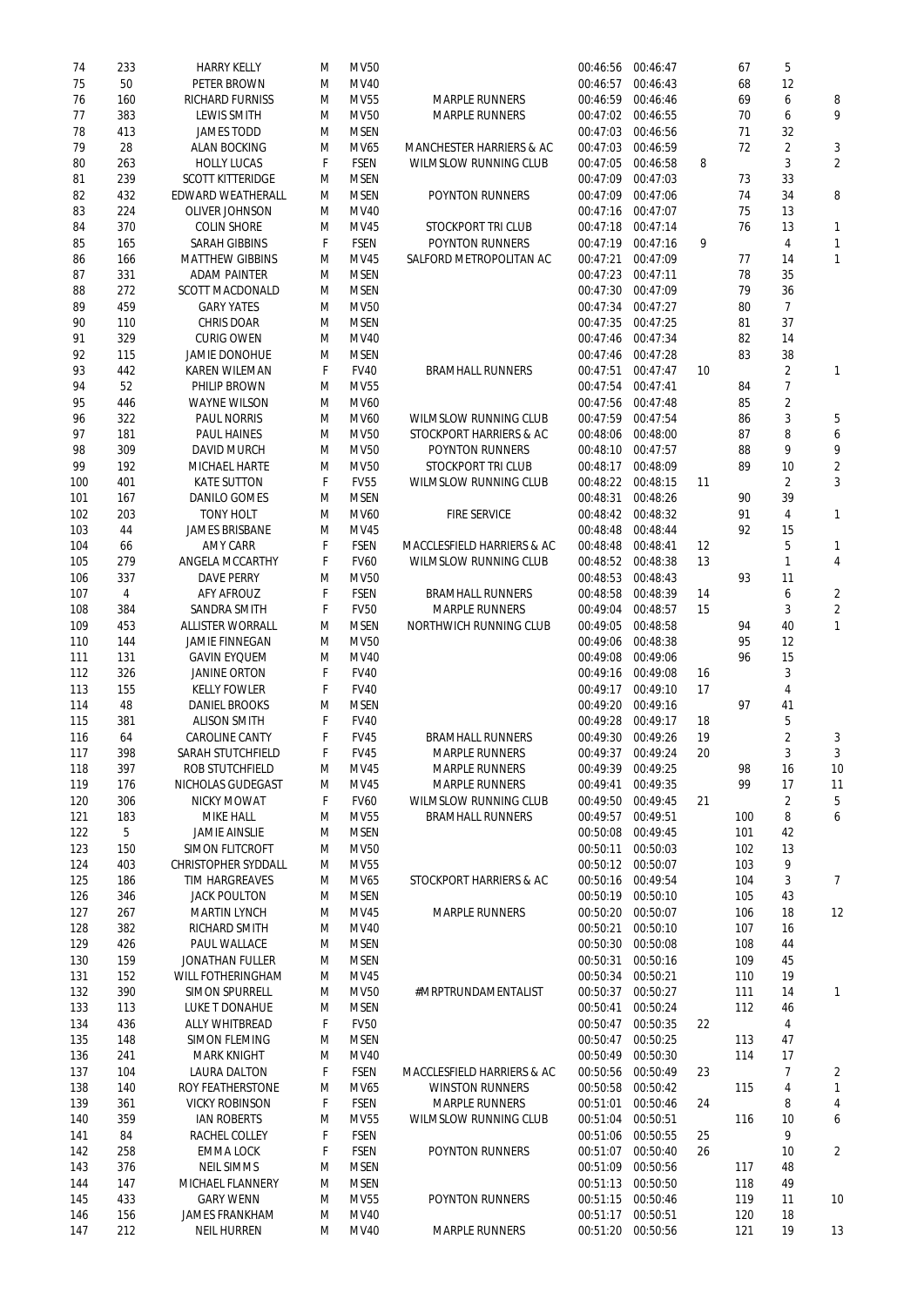| 74  | 233 | <b>HARRY KELLY</b>         | м  | <b>MV50</b> |                                       | 00:46:56 00:46:47 |          |    | 67  | 5              |                 |
|-----|-----|----------------------------|----|-------------|---------------------------------------|-------------------|----------|----|-----|----------------|-----------------|
| 75  | 50  | PETER BROWN                | M  | <b>MV40</b> |                                       | 00:46:57          | 00:46:43 |    | 68  | 12             |                 |
| 76  | 160 | <b>RICHARD FURNISS</b>     | M  | <b>MV55</b> | <b>MARPLE RUNNERS</b>                 | 00:46:59          | 00:46:46 |    | 69  | 6              | 8               |
|     |     |                            |    |             |                                       |                   |          |    |     |                |                 |
| 77  | 383 | <b>LEWIS SMITH</b>         | M  | <b>MV50</b> | <b>MARPLE RUNNERS</b>                 | 00:47:02          | 00:46:55 |    | 70  | 6              | 9               |
| 78  | 413 | <b>JAMES TODD</b>          | M  | <b>MSEN</b> |                                       | 00:47:03          | 00:46:56 |    | 71  | 32             |                 |
| 79  | 28  | <b>ALAN BOCKING</b>        | M  | MV65        | <b>MANCHESTER HARRIERS &amp; AC</b>   | 00:47:03          | 00:46:59 |    | 72  | $\overline{2}$ | 3               |
| 80  | 263 | <b>HOLLY LUCAS</b>         | F  | <b>FSEN</b> | <b>WILMSLOW RUNNING CLUB</b>          | 00:47:05          | 00:46:58 | 8  |     | 3              | $\overline{2}$  |
|     |     |                            |    |             |                                       |                   |          |    |     |                |                 |
| 81  | 239 | <b>SCOTT KITTERIDGE</b>    | M  | <b>MSEN</b> |                                       | 00:47:09          | 00:47:03 |    | 73  | 33             |                 |
| 82  | 432 | <b>EDWARD WEATHERALL</b>   | M  | <b>MSEN</b> | <b>POYNTON RUNNERS</b>                | 00:47:09          | 00:47:06 |    | 74  | 34             | 8               |
| 83  | 224 | <b>OLIVER JOHNSON</b>      | M  | <b>MV40</b> |                                       | 00:47:16 00:47:07 |          |    | 75  | 13             |                 |
|     |     |                            |    |             |                                       |                   |          |    |     |                |                 |
| 84  | 370 | <b>COLIN SHORE</b>         | M  | <b>MV45</b> | <b>STOCKPORT TRI CLUB</b>             | 00:47:18          | 00:47:14 |    | 76  | 13             |                 |
| 85  | 165 | <b>SARAH GIBBINS</b>       | F  | <b>FSEN</b> | <b>POYNTON RUNNERS</b>                | 00:47:19          | 00:47:16 | 9  |     | 4              |                 |
| 86  | 166 | <b>MATTHEW GIBBINS</b>     | M  | <b>MV45</b> | SALFORD METROPOLITAN AC               | 00:47:21          | 00:47:09 |    | 77  | 14             |                 |
|     |     |                            |    |             |                                       |                   |          |    |     |                |                 |
| 87  | 331 | <b>ADAM PAINTER</b>        | M  | <b>MSEN</b> |                                       | 00:47:23          | 00:47:11 |    | 78  | 35             |                 |
| 88  | 272 | <b>SCOTT MACDONALD</b>     | M  | <b>MSEN</b> |                                       | 00:47:30 00:47:09 |          |    | 79  | 36             |                 |
| 89  | 459 | <b>GARY YATES</b>          | M  | <b>MV50</b> |                                       | 00:47:34          | 00:47:27 |    | 80  | $\overline{7}$ |                 |
| 90  | 110 | <b>CHRIS DOAR</b>          | M  | <b>MSEN</b> |                                       | 00:47:35          | 00:47:25 |    | 81  | 37             |                 |
|     |     |                            |    |             |                                       |                   |          |    |     |                |                 |
| 91  | 329 | <b>CURIG OWEN</b>          | M  | <b>MV40</b> |                                       | 00:47:46          | 00:47:34 |    | 82  | 14             |                 |
| 92  | 115 | <b>JAMIE DONOHUE</b>       | м  | <b>MSEN</b> |                                       | 00:47:46          | 00:47:28 |    | 83  | 38             |                 |
| 93  | 442 | <b>KAREN WILEMAN</b>       | F  | <b>FV40</b> | <b>BRAMHALL RUNNERS</b>               | 00:47:51          | 00:47:47 | 10 |     | $\overline{2}$ | 1               |
|     |     |                            |    |             |                                       |                   |          |    |     |                |                 |
| 94  | 52  | PHILIP BROWN               | M  | <b>MV55</b> |                                       | 00:47:54          | 00:47:41 |    | 84  | 7              |                 |
| 95  | 446 | <b>WAYNE WILSON</b>        | M  | <b>MV60</b> |                                       | 00:47:56          | 00:47:48 |    | 85  | $\overline{2}$ |                 |
| 96  | 322 | <b>PAUL NORRIS</b>         | M  | <b>MV60</b> | <b>WILMSLOW RUNNING CLUB</b>          | 00:47:59          | 00:47:54 |    | 86  | 3              | 5               |
| 97  | 181 | <b>PAUL HAINES</b>         |    | <b>MV50</b> | STOCKPORT HARRIERS & AC               | 00:48:06          | 00:48:00 |    | 87  | 8              | 6               |
|     |     |                            | M  |             |                                       |                   |          |    |     |                |                 |
| 98  | 309 | <b>DAVID MURCH</b>         | M  | <b>MV50</b> | <b>POYNTON RUNNERS</b>                | 00:48:10          | 00:47:57 |    | 88  | 9              | 9               |
| 99  | 192 | <b>MICHAEL HARTE</b>       | M  | <b>MV50</b> | <b>STOCKPORT TRI CLUB</b>             | 00:48:17          | 00:48:09 |    | 89  | 10             | $\overline{2}$  |
| 100 | 401 | <b>KATE SUTTON</b>         | F  | <b>FV55</b> | <b>WILMSLOW RUNNING CLUB</b>          | 00:48:22          | 00:48:15 | 11 |     | $\overline{2}$ | 3               |
|     |     |                            |    |             |                                       |                   |          |    |     |                |                 |
| 101 | 167 | <b>DANILO GOMES</b>        | M  | <b>MSEN</b> |                                       | 00:48:31          | 00:48:26 |    | 90  | 39             |                 |
| 102 | 203 | <b>TONY HOLT</b>           | M  | <b>MV60</b> | <b>FIRE SERVICE</b>                   | 00:48:42          | 00:48:32 |    | 91  | 4              | 1               |
| 103 | 44  | <b>JAMES BRISBANE</b>      | M  | <b>MV45</b> |                                       | 00:48:48          | 00:48:44 |    | 92  | 15             |                 |
|     |     |                            |    |             |                                       |                   |          |    |     |                |                 |
| 104 | 66  | <b>AMY CARR</b>            | F  | <b>FSEN</b> | MACCLESFIELD HARRIERS & AC            | 00:48:48          | 00:48:41 | 12 |     | 5              |                 |
| 105 | 279 | <b>ANGELA MCCARTHY</b>     | F. | <b>FV60</b> | <b>WILMSLOW RUNNING CLUB</b>          | 00:48:52 00:48:38 |          | 13 |     | 1              | 4               |
| 106 | 337 | <b>DAVE PERRY</b>          | M  | <b>MV50</b> |                                       | 00:48:53          | 00:48:43 |    | 93  | 11             |                 |
| 107 | 4   | <b>AFY AFROUZ</b>          | F  | <b>FSEN</b> | <b>BRAMHALL RUNNERS</b>               | 00:48:58          | 00:48:39 | 14 |     | 6              | $\overline{2}$  |
|     |     |                            |    |             |                                       |                   |          |    |     |                |                 |
| 108 | 384 | <b>SANDRA SMITH</b>        | F  | <b>FV50</b> | <b>MARPLE RUNNERS</b>                 | 00:49:04          | 00:48:57 | 15 |     | 3              | $\overline{2}$  |
| 109 | 453 | <b>ALLISTER WORRALL</b>    | M  | <b>MSEN</b> | <b>NORTHWICH RUNNING CLUB</b>         | 00:49:05          | 00:48:58 |    | 94  | 40             |                 |
| 110 | 144 | <b>JAMIE FINNEGAN</b>      | M  | <b>MV50</b> |                                       | 00:49:06          | 00:48:38 |    | 95  | 12             |                 |
|     |     |                            |    |             |                                       |                   |          |    |     |                |                 |
| 111 | 131 | <b>GAVIN EYQUEM</b>        | M  | <b>MV40</b> |                                       | 00:49:08          | 00:49:06 |    | 96  | 15             |                 |
| 112 | 326 | <b>JANINE ORTON</b>        | F  | <b>FV40</b> |                                       | 00:49:16          | 00:49:08 | 16 |     | 3              |                 |
| 113 | 155 | <b>KELLY FOWLER</b>        | F  | <b>FV40</b> |                                       | 00:49:17          | 00:49:10 | 17 |     | 4              |                 |
| 114 | 48  | <b>DANIEL BROOKS</b>       | M  | <b>MSEN</b> |                                       | 00:49:20          | 00:49:16 |    | 97  | 41             |                 |
|     |     |                            |    |             |                                       |                   |          |    |     |                |                 |
| 115 | 381 | <b>ALISON SMITH</b>        | F  | <b>FV40</b> |                                       | 00:49:28          | 00:49:17 | 18 |     | 5              |                 |
| 116 | 64  | <b>CAROLINE CANTY</b>      | F  | <b>FV45</b> | <b>BRAMHALL RUNNERS</b>               | 00:49:30          | 00:49:26 | 19 |     | $\overline{2}$ | 3               |
| 117 | 398 | <b>SARAH STUTCHFIELD</b>   | F  | <b>FV45</b> | <b>MARPLE RUNNERS</b>                 | 00:49:37          | 00:49:24 | 20 |     | 3              | 3               |
| 118 | 397 | <b>ROB STUTCHFIELD</b>     |    | <b>MV45</b> | <b>MARPLE RUNNERS</b>                 |                   | 00:49:25 |    | 98  |                | 10 <sup>°</sup> |
|     |     |                            | M  |             |                                       | 00:49:39          |          |    |     | 16             |                 |
| 119 | 176 | <b>NICHOLAS GUDEGAST</b>   | M  | MV45        | <b>MARPLE RUNNERS</b>                 | 00:49:41          | 00:49:35 |    | 99  | 17             | 11              |
| 120 | 306 | <b>NICKY MOWAT</b>         | F  | <b>FV60</b> | <b>WILMSLOW RUNNING CLUB</b>          | 00:49:50 00:49:45 |          | 21 |     | $\overline{2}$ | 5               |
| 121 | 183 | <b>MIKE HALL</b>           | M  | <b>MV55</b> | <b>BRAMHALL RUNNERS</b>               | 00:49:57          | 00:49:51 |    | 100 | 8              | 6               |
|     |     |                            |    |             |                                       |                   |          |    |     |                |                 |
| 122 | 5   | <b>JAMIE AINSLIE</b>       | M  | <b>MSEN</b> |                                       | 00:50:08          | 00:49:45 |    | 101 | 42             |                 |
| 123 | 150 | <b>SIMON FLITCROFT</b>     | M  | <b>MV50</b> |                                       | 00:50:11          | 00:50:03 |    | 102 | 13             |                 |
| 124 | 403 | <b>CHRISTOPHER SYDDALL</b> | M  | <b>MV55</b> |                                       | 00:50:12          | 00:50:07 |    | 103 | 9              |                 |
| 125 | 186 | <b>TIM HARGREAVES</b>      | M  | <b>MV65</b> | STOCKPORT HARRIERS & AC               | 00:50:16          | 00:49:54 |    | 104 | 3              | $\overline{7}$  |
|     |     |                            |    |             |                                       |                   |          |    |     |                |                 |
| 126 | 346 | <b>JACK POULTON</b>        | M  | <b>MSEN</b> |                                       | 00:50:19          | 00:50:10 |    | 105 | 43             |                 |
| 127 | 267 | <b>MARTIN LYNCH</b>        | M  | <b>MV45</b> | <b>MARPLE RUNNERS</b>                 | 00:50:20          | 00:50:07 |    | 106 | 18             | 12              |
| 128 | 382 | <b>RICHARD SMITH</b>       | M  | <b>MV40</b> |                                       | 00:50:21          | 00:50:10 |    | 107 | 16             |                 |
| 129 | 426 | PAUL WALLACE               | M  | <b>MSEN</b> |                                       | 00:50:30          | 00:50:08 |    | 108 | 44             |                 |
|     |     |                            |    |             |                                       |                   |          |    |     |                |                 |
| 130 | 159 | <b>JONATHAN FULLER</b>     | M  | <b>MSEN</b> |                                       | 00:50:31          | 00:50:16 |    | 109 | 45             |                 |
| 131 | 152 | <b>WILL FOTHERINGHAM</b>   | M  | MV45        |                                       | 00:50:34          | 00:50:21 |    | 110 | 19             |                 |
| 132 | 390 | <b>SIMON SPURRELL</b>      | M  | <b>MV50</b> | #MRPTRUNDAMENTALIST                   | 00:50:37          | 00:50:27 |    | 111 | 14             | 1               |
| 133 | 113 | <b>LUKE T DONAHUE</b>      | M  | <b>MSEN</b> |                                       | 00:50:41          | 00:50:24 |    | 112 | 46             |                 |
|     |     |                            |    |             |                                       |                   |          |    |     |                |                 |
| 134 | 436 | <b>ALLY WHITBREAD</b>      | F  | <b>FV50</b> |                                       | 00:50:47          | 00:50:35 | 22 |     | 4              |                 |
| 135 | 148 | <b>SIMON FLEMING</b>       | м  | <b>MSEN</b> |                                       | 00:50:47          | 00:50:25 |    | 113 | 47             |                 |
| 136 | 241 | <b>MARK KNIGHT</b>         | M  | MV40        |                                       | 00:50:49 00:50:30 |          |    | 114 | 17             |                 |
| 137 | 104 | <b>LAURA DALTON</b>        | F  | <b>FSEN</b> | <b>MACCLESFIELD HARRIERS &amp; AC</b> | 00:50:56          | 00:50:49 | 23 |     | 7              | 2               |
|     |     |                            |    |             |                                       |                   |          |    |     |                |                 |
| 138 | 140 | <b>ROY FEATHERSTONE</b>    | M  | MV65        | <b>WINSTON RUNNERS</b>                | 00:50:58          | 00:50:42 |    | 115 | 4              |                 |
| 139 | 361 | <b>VICKY ROBINSON</b>      | F  | <b>FSEN</b> | <b>MARPLE RUNNERS</b>                 | 00:51:01          | 00:50:46 | 24 |     | 8              | 4               |
| 140 | 359 | <b>IAN ROBERTS</b>         | M  | <b>MV55</b> | <b>WILMSLOW RUNNING CLUB</b>          | 00:51:04          | 00:50:51 |    | 116 | 10             | 6               |
|     |     |                            |    |             |                                       |                   |          |    |     |                |                 |
| 141 | 84  | <b>RACHEL COLLEY</b>       | F  | <b>FSEN</b> |                                       | 00:51:06          | 00:50:55 | 25 |     | 9              |                 |
| 142 | 258 | <b>EMMA LOCK</b>           | F  | <b>FSEN</b> | <b>POYNTON RUNNERS</b>                | 00:51:07          | 00:50:40 | 26 |     | 10             | $\overline{2}$  |
| 143 | 376 | <b>NEIL SIMMS</b>          | M  | <b>MSEN</b> |                                       | 00:51:09          | 00:50:56 |    | 117 | 48             |                 |
| 144 | 147 | <b>MICHAEL FLANNERY</b>    | M  | <b>MSEN</b> |                                       | 00:51:13          | 00:50:50 |    | 118 | 49             |                 |
|     |     |                            |    |             |                                       |                   |          |    |     |                |                 |
| 145 | 433 | <b>GARY WENN</b>           | M  | <b>MV55</b> | <b>POYNTON RUNNERS</b>                | 00:51:15          | 00:50:46 |    | 119 | 11             | 10 <sup>°</sup> |
| 146 | 156 | <b>JAMES FRANKHAM</b>      | M  | <b>MV40</b> |                                       | 00:51:17          | 00:50:51 |    | 120 | 18             |                 |
| 147 | 212 | <b>NEIL HURREN</b>         | M  | <b>MV40</b> | <b>MARPLE RUNNERS</b>                 | 00:51:20          | 00:50:56 |    | 121 | 19             | 13              |
|     |     |                            |    |             |                                       |                   |          |    |     |                |                 |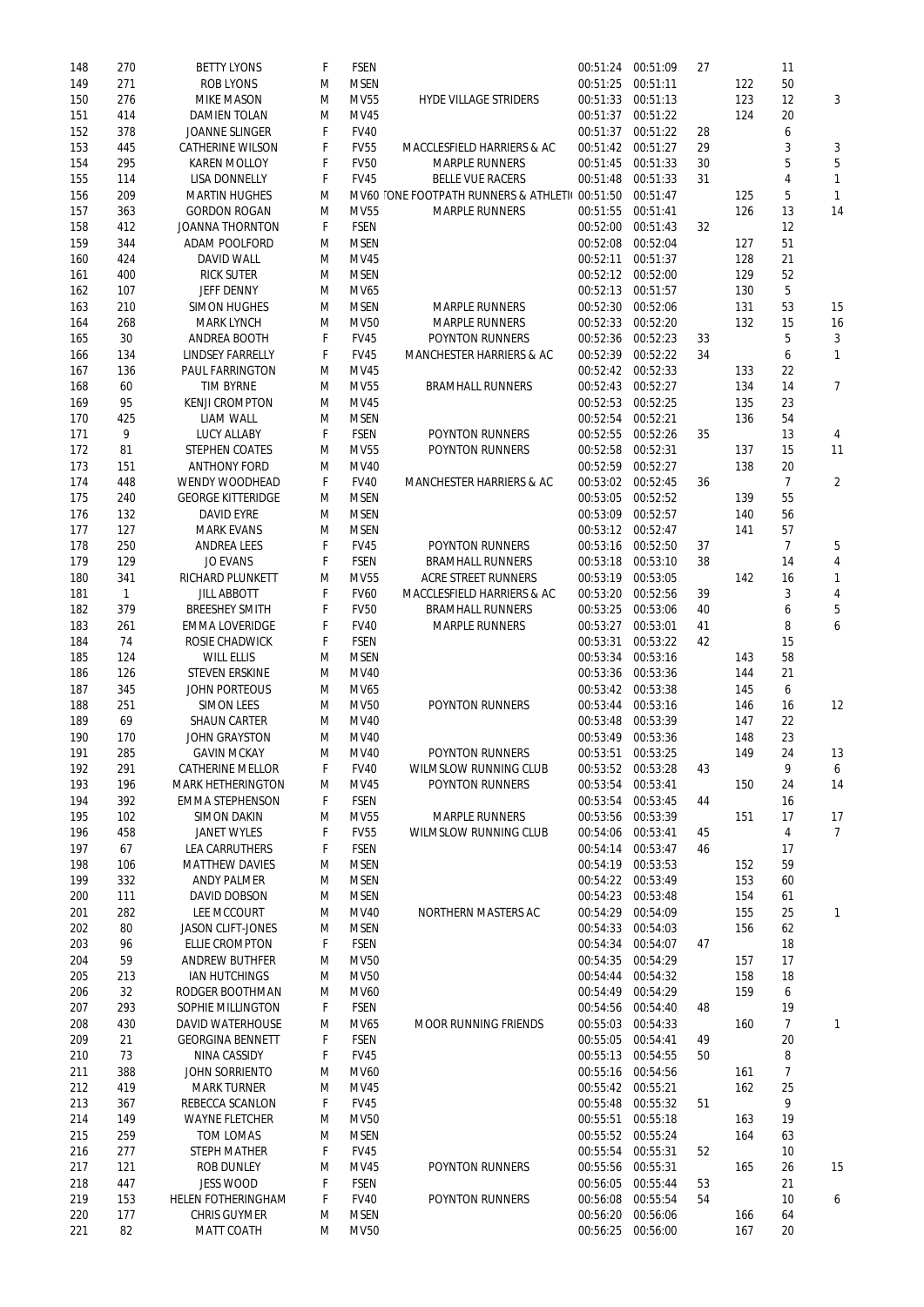| 148 | 270          | <b>BETTY LYONS</b>        | F | <b>FSEN</b> |                                               | 00:51:24 | 00:51:09 | 27 |     | 11             |                |
|-----|--------------|---------------------------|---|-------------|-----------------------------------------------|----------|----------|----|-----|----------------|----------------|
| 149 | 271          | <b>ROB LYONS</b>          | M | <b>MSEN</b> |                                               | 00:51:25 | 00:51:11 |    | 122 | 50             |                |
| 150 | 276          | <b>MIKE MASON</b>         | M | <b>MV55</b> | <b>HYDE VILLAGE STRIDERS</b>                  | 00:51:33 | 00:51:13 |    | 123 | 12             | 3              |
| 151 | 414          | <b>DAMIEN TOLAN</b>       | M | <b>MV45</b> |                                               | 00:51:37 | 00:51:22 |    | 124 | 20             |                |
| 152 | 378          | <b>JOANNE SLINGER</b>     | F | <b>FV40</b> |                                               | 00:51:37 | 00:51:22 | 28 |     | 6              |                |
|     |              |                           |   |             |                                               |          | 00:51:27 |    |     |                |                |
| 153 | 445          | <b>CATHERINE WILSON</b>   | F | <b>FV55</b> | MACCLESFIELD HARRIERS & AC                    | 00:51:42 |          | 29 |     | 3              | 3              |
| 154 | 295          | <b>KAREN MOLLOY</b>       | F | <b>FV50</b> | <b>MARPLE RUNNERS</b>                         | 00:51:45 | 00:51:33 | 30 |     | 5              | 5              |
| 155 | 114          | <b>LISA DONNELLY</b>      | F | <b>FV45</b> | <b>BELLE VUE RACERS</b>                       | 00:51:48 | 00:51:33 | 31 |     | 4              | $\mathbf{1}$   |
| 156 | 209          | <b>MARTIN HUGHES</b>      | M |             | MV60 ONE FOOTPATH RUNNERS & ATHLETI( 00:51:50 |          | 00:51:47 |    | 125 | 5              | $\mathbf{1}$   |
| 157 | 363          | <b>GORDON ROGAN</b>       | M | <b>MV55</b> | <b>MARPLE RUNNERS</b>                         | 00:51:55 | 00:51:41 |    | 126 | 13             | 14             |
| 158 | 412          | <b>JOANNA THORNTON</b>    | F | <b>FSEN</b> |                                               | 00:52:00 | 00:51:43 | 32 |     | 12             |                |
| 159 | 344          | <b>ADAM POOLFORD</b>      | M | <b>MSEN</b> |                                               | 00:52:08 | 00:52:04 |    | 127 | 51             |                |
|     |              |                           |   |             |                                               |          |          |    |     |                |                |
| 160 | 424          | <b>DAVID WALL</b>         | M | <b>MV45</b> |                                               | 00:52:11 | 00:51:37 |    | 128 | 21             |                |
| 161 | 400          | <b>RICK SUTER</b>         | M | <b>MSEN</b> |                                               | 00:52:12 | 00:52:00 |    | 129 | 52             |                |
| 162 | 107          | <b>JEFF DENNY</b>         | M | <b>MV65</b> |                                               | 00:52:13 | 00:51:57 |    | 130 | 5              |                |
| 163 | 210          | <b>SIMON HUGHES</b>       | M | <b>MSEN</b> | <b>MARPLE RUNNERS</b>                         | 00:52:30 | 00:52:06 |    | 131 | 53             | 15             |
| 164 | 268          | <b>MARK LYNCH</b>         | M | <b>MV50</b> | <b>MARPLE RUNNERS</b>                         | 00:52:33 | 00:52:20 |    | 132 | 15             | 16             |
| 165 | 30           | <b>ANDREA BOOTH</b>       | F | <b>FV45</b> | <b>POYNTON RUNNERS</b>                        | 00:52:36 | 00:52:23 | 33 |     | 5              | 3              |
| 166 | 134          | <b>LINDSEY FARRELLY</b>   | F | <b>FV45</b> | <b>MANCHESTER HARRIERS &amp; AC</b>           | 00:52:39 | 00:52:22 | 34 |     | 6              | $\mathbf{1}$   |
|     |              | <b>PAUL FARRINGTON</b>    |   |             |                                               |          |          |    |     |                |                |
| 167 | 136          |                           | M | <b>MV45</b> |                                               | 00:52:42 | 00:52:33 |    | 133 | 22             |                |
| 168 | 60           | <b>TIM BYRNE</b>          | M | <b>MV55</b> | <b>BRAMHALL RUNNERS</b>                       | 00:52:43 | 00:52:27 |    | 134 | 14             | $\overline{7}$ |
| 169 | 95           | <b>KENJI CROMPTON</b>     | M | <b>MV45</b> |                                               | 00:52:53 | 00:52:25 |    | 135 | 23             |                |
| 170 | 425          | <b>LIAM WALL</b>          | M | <b>MSEN</b> |                                               | 00:52:54 | 00:52:21 |    | 136 | 54             |                |
| 171 | 9            | <b>LUCY ALLABY</b>        | F | <b>FSEN</b> | <b>POYNTON RUNNERS</b>                        | 00:52:55 | 00:52:26 | 35 |     | 13             | 4              |
| 172 | 81           | <b>STEPHEN COATES</b>     | M | <b>MV55</b> | <b>POYNTON RUNNERS</b>                        | 00:52:58 | 00:52:31 |    | 137 | 15             | 11             |
| 173 | 151          | <b>ANTHONY FORD</b>       | M | <b>MV40</b> |                                               | 00:52:59 | 00:52:27 |    | 138 | 20             |                |
|     |              |                           |   |             |                                               |          |          |    |     |                |                |
| 174 | 448          | <b>WENDY WOODHEAD</b>     | F | <b>FV40</b> | <b>MANCHESTER HARRIERS &amp; AC</b>           | 00:53:02 | 00:52:45 | 36 |     | $\overline{7}$ | $\overline{2}$ |
| 175 | 240          | <b>GEORGE KITTERIDGE</b>  | M | <b>MSEN</b> |                                               | 00:53:05 | 00:52:52 |    | 139 | 55             |                |
| 176 | 132          | <b>DAVID EYRE</b>         | M | <b>MSEN</b> |                                               | 00:53:09 | 00:52:57 |    | 140 | 56             |                |
| 177 | 127          | <b>MARK EVANS</b>         | M | <b>MSEN</b> |                                               | 00:53:12 | 00:52:47 |    | 141 | 57             |                |
| 178 | 250          | <b>ANDREA LEES</b>        | F | <b>FV45</b> | POYNTON RUNNERS                               | 00:53:16 | 00:52:50 | 37 |     | $\overline{7}$ | 5              |
| 179 | 129          | <b>JO EVANS</b>           | F | <b>FSEN</b> | <b>BRAMHALL RUNNERS</b>                       | 00:53:18 | 00:53:10 | 38 |     | 14             | 4              |
| 180 |              | <b>RICHARD PLUNKETT</b>   | M | <b>MV55</b> | <b>ACRE STREET RUNNERS</b>                    | 00:53:19 | 00:53:05 |    | 142 |                |                |
|     | 341          |                           |   |             |                                               |          |          |    |     | 16             | $\mathbf{1}$   |
| 181 | $\mathbf{1}$ | <b>JILL ABBOTT</b>        | F | <b>FV60</b> | <b>MACCLESFIELD HARRIERS &amp; AC</b>         | 00:53:20 | 00:52:56 | 39 |     | 3              | 4              |
| 182 | 379          | <b>BREESHEY SMITH</b>     | F | <b>FV50</b> | <b>BRAMHALL RUNNERS</b>                       | 00:53:25 | 00:53:06 | 40 |     | 6              | 5              |
| 183 | 261          | <b>EMMA LOVERIDGE</b>     | F | <b>FV40</b> | <b>MARPLE RUNNERS</b>                         | 00:53:27 | 00:53:01 | 41 |     | 8              | 6              |
| 184 | 74           | <b>ROSIE CHADWICK</b>     | F | <b>FSEN</b> |                                               | 00:53:31 | 00:53:22 | 42 |     | 15             |                |
| 185 | 124          | <b>WILL ELLIS</b>         | M | <b>MSEN</b> |                                               | 00:53:34 | 00:53:16 |    | 143 | 58             |                |
| 186 | 126          | <b>STEVEN ERSKINE</b>     | M | <b>MV40</b> |                                               | 00:53:36 | 00:53:36 |    | 144 | 21             |                |
|     |              |                           |   | <b>MV65</b> |                                               |          |          |    |     |                |                |
| 187 | 345          | <b>JOHN PORTEOUS</b>      | M |             |                                               | 00:53:42 | 00:53:38 |    | 145 | 6              |                |
| 188 | 251          | <b>SIMON LEES</b>         | M | <b>MV50</b> | <b>POYNTON RUNNERS</b>                        | 00:53:44 | 00:53:16 |    | 146 | 16             | 12             |
| 189 | 69           | <b>SHAUN CARTER</b>       | M | <b>MV40</b> |                                               | 00:53:48 | 00:53:39 |    | 147 | 22             |                |
| 190 | 170          | <b>JOHN GRAYSTON</b>      | M | <b>MV40</b> |                                               | 00:53:49 | 00:53:36 |    | 148 | 23             |                |
| 191 | 285          | <b>GAVIN MCKAY</b>        | M | <b>MV40</b> | <b>POYNTON RUNNERS</b>                        | 00:53:51 | 00:53:25 |    | 149 | 24             | 13             |
| 192 | 291          | <b>CATHERINE MELLOR</b>   | F | <b>FV40</b> | <b>WILMSLOW RUNNING CLUB</b>                  | 00:53:52 | 00:53:28 | 43 |     | 9              | 6              |
| 193 | 196          | <b>MARK HETHERINGTON</b>  | M | <b>MV45</b> | <b>POYNTON RUNNERS</b>                        | 00:53:54 | 00:53:41 |    | 150 | 24             | 14             |
|     |              |                           |   |             |                                               |          |          |    |     |                |                |
| 194 | 392          | <b>EMMA STEPHENSON</b>    | F | <b>FSEN</b> |                                               | 00:53:54 | 00:53:45 | 44 |     | 16             |                |
| 195 | 102          | <b>SIMON DAKIN</b>        | M | <b>MV55</b> | <b>MARPLE RUNNERS</b>                         | 00:53:56 | 00:53:39 |    | 151 | 17             | 17             |
| 196 | 458          | <b>JANET WYLES</b>        | F | <b>FV55</b> | <b>WILMSLOW RUNNING CLUB</b>                  | 00:54:06 | 00:53:41 | 45 |     | 4              | $\overline{7}$ |
| 197 | 67           | <b>LEA CARRUTHERS</b>     | F | <b>FSEN</b> |                                               | 00:54:14 | 00:53:47 | 46 |     | 17             |                |
| 198 | 106          | <b>MATTHEW DAVIES</b>     | M | <b>MSEN</b> |                                               | 00:54:19 | 00:53:53 |    | 152 | 59             |                |
| 199 | 332          | <b>ANDY PALMER</b>        | M | <b>MSEN</b> |                                               | 00:54:22 | 00:53:49 |    | 153 | 60             |                |
| 200 | 111          | <b>DAVID DOBSON</b>       | M | <b>MSEN</b> |                                               | 00:54:23 | 00:53:48 |    | 154 | 61             |                |
|     |              |                           |   |             |                                               |          |          |    |     |                |                |
| 201 | 282          | <b>LEE MCCOURT</b>        | M | <b>MV40</b> | <b>NORTHERN MASTERS AC</b>                    | 00:54:29 | 00:54:09 |    | 155 | 25             | $\mathbf{1}$   |
| 202 | 80           | <b>JASON CLIFT-JONES</b>  | M | <b>MSEN</b> |                                               | 00:54:33 | 00:54:03 |    | 156 | 62             |                |
| 203 | 96           | <b>ELLIE CROMPTON</b>     | F | <b>FSEN</b> |                                               | 00:54:34 | 00:54:07 | 47 |     | 18             |                |
| 204 | 59           | <b>ANDREW BUTHFER</b>     | M | <b>MV50</b> |                                               | 00:54:35 | 00:54:29 |    | 157 | 17             |                |
| 205 | 213          | <b>IAN HUTCHINGS</b>      | M | <b>MV50</b> |                                               | 00:54:44 | 00:54:32 |    | 158 | 18             |                |
| 206 | 32           | <b>RODGER BOOTHMAN</b>    | M | <b>MV60</b> |                                               | 00:54:49 | 00:54:29 |    | 159 | 6              |                |
| 207 | 293          | <b>SOPHIE MILLINGTON</b>  | F | <b>FSEN</b> |                                               | 00:54:56 | 00:54:40 | 48 |     | 19             |                |
|     |              |                           |   |             |                                               |          |          |    |     |                |                |
| 208 | 430          | <b>DAVID WATERHOUSE</b>   | M | <b>MV65</b> | <b>MOOR RUNNING FRIENDS</b>                   | 00:55:03 | 00:54:33 |    | 160 | $\overline{7}$ | 1              |
| 209 | 21           | <b>GEORGINA BENNETT</b>   | F | <b>FSEN</b> |                                               | 00:55:05 | 00:54:41 | 49 |     | 20             |                |
| 210 | 73           | <b>NINA CASSIDY</b>       | F | <b>FV45</b> |                                               | 00:55:13 | 00:54:55 | 50 |     | 8              |                |
| 211 | 388          | <b>JOHN SORRIENTO</b>     | M | <b>MV60</b> |                                               | 00:55:16 | 00:54:56 |    | 161 | $\overline{7}$ |                |
| 212 | 419          | <b>MARK TURNER</b>        | M | <b>MV45</b> |                                               | 00:55:42 | 00:55:21 |    | 162 | 25             |                |
| 213 | 367          | <b>REBECCA SCANLON</b>    | F | <b>FV45</b> |                                               | 00:55:48 | 00:55:32 | 51 |     | 9              |                |
| 214 | 149          | <b>WAYNE FLETCHER</b>     |   |             |                                               | 00:55:51 | 00:55:18 |    |     | 19             |                |
|     |              |                           | M | <b>MV50</b> |                                               |          |          |    | 163 |                |                |
| 215 | 259          | <b>TOM LOMAS</b>          | M | <b>MSEN</b> |                                               | 00:55:52 | 00:55:24 |    | 164 | 63             |                |
| 216 | 277          | <b>STEPH MATHER</b>       | F | <b>FV45</b> |                                               | 00:55:54 | 00:55:31 | 52 |     | 10             |                |
| 217 | 121          | <b>ROB DUNLEY</b>         | M | <b>MV45</b> | <b>POYNTON RUNNERS</b>                        | 00:55:56 | 00:55:31 |    | 165 | 26             | 15             |
| 218 | 447          | <b>JESS WOOD</b>          | F | <b>FSEN</b> |                                               | 00:56:05 | 00:55:44 | 53 |     | 21             |                |
| 219 | 153          | <b>HELEN FOTHERINGHAM</b> | F | <b>FV40</b> | <b>POYNTON RUNNERS</b>                        | 00:56:08 | 00:55:54 | 54 |     | 10             | 6              |
| 220 | 177          | <b>CHRIS GUYMER</b>       | M | <b>MSEN</b> |                                               | 00:56:20 | 00:56:06 |    | 166 | 64             |                |
|     |              |                           |   |             |                                               |          |          |    |     |                |                |
| 221 | 82           | <b>MATT COATH</b>         | M | <b>MV50</b> |                                               | 00:56:25 | 00:56:00 |    | 167 | 20             |                |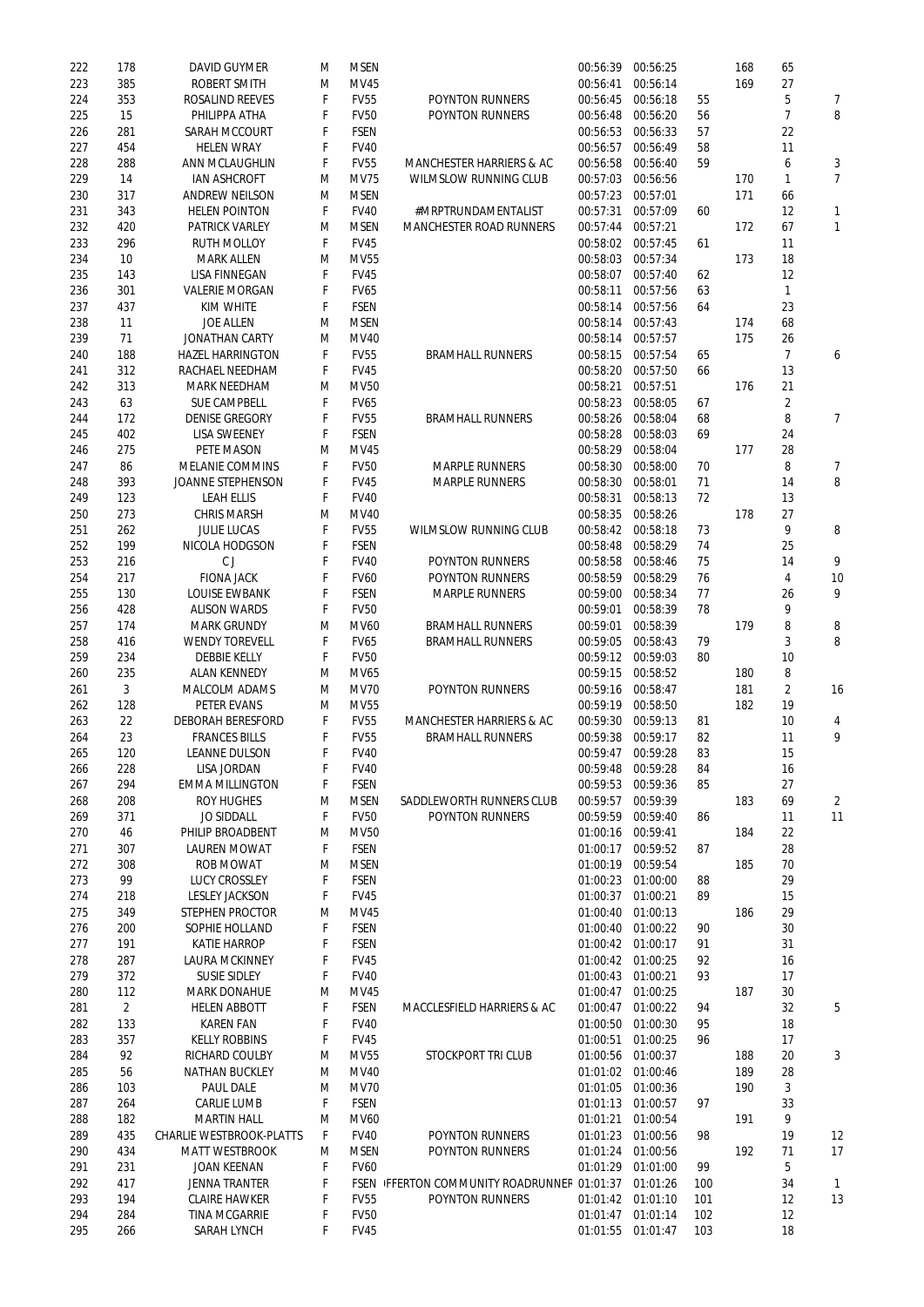| 222        | 178            | <b>DAVID GUYMER</b>                        | M       | <b>MSEN</b>                |                                            | 00:56:39          | 00:56:25 |            | 168 | 65             |                |
|------------|----------------|--------------------------------------------|---------|----------------------------|--------------------------------------------|-------------------|----------|------------|-----|----------------|----------------|
| 223        | 385            | <b>ROBERT SMITH</b>                        | M       | <b>MV45</b>                |                                            | 00:56:41          | 00:56:14 |            | 169 | 27             |                |
| 224        | 353            | <b>ROSALIND REEVES</b>                     | F       | <b>FV55</b>                | <b>POYNTON RUNNERS</b>                     | 00:56:45          | 00:56:18 | 55         |     | 5              | 7              |
|            |                |                                            |         | <b>FV50</b>                |                                            |                   |          |            |     | $\overline{7}$ | 8              |
| 225        | 15             | PHILIPPA ATHA                              | F       |                            | <b>POYNTON RUNNERS</b>                     | 00:56:48          | 00:56:20 | 56         |     |                |                |
| 226        | 281            | <b>SARAH MCCOURT</b>                       | F       | <b>FSEN</b>                |                                            | 00:56:53          | 00:56:33 | 57         |     | 22             |                |
| 227        | 454            | <b>HELEN WRAY</b>                          | F       | <b>FV40</b>                |                                            | 00:56:57          | 00:56:49 | 58         |     | 11             |                |
| 228        | 288            | <b>ANN MCLAUGHLIN</b>                      | F       | <b>FV55</b>                | <b>MANCHESTER HARRIERS &amp; AC</b>        | 00:56:58          | 00:56:40 | 59         |     | 6              | 3              |
| 229        | 14             | <b>IAN ASHCROFT</b>                        | M       | <b>MV75</b>                | <b>WILMSLOW RUNNING CLUB</b>               | 00:57:03          | 00:56:56 |            | 170 | 1              | $\overline{7}$ |
| 230        | 317            | <b>ANDREW NEILSON</b>                      | M       | <b>MSEN</b>                |                                            | 00:57:23          | 00:57:01 |            | 171 | 66             |                |
|            |                |                                            |         |                            |                                            |                   |          |            |     |                |                |
| 231        | 343            | <b>HELEN POINTON</b>                       | F       | <b>FV40</b>                | #MRPTRUNDAMENTALIST                        | 00:57:31          | 00:57:09 | 60         |     | 12             | $\mathbf{1}$   |
| 232        | 420            | <b>PATRICK VARLEY</b>                      | M       | <b>MSEN</b>                | <b>MANCHESTER ROAD RUNNERS</b>             | 00:57:44          | 00:57:21 |            | 172 | 67             | $\mathbf{1}$   |
| 233        | 296            | <b>RUTH MOLLOY</b>                         | F       | <b>FV45</b>                |                                            | 00:58:02          | 00:57:45 | 61         |     | 11             |                |
| 234        | 10             | <b>MARK ALLEN</b>                          | M       | <b>MV55</b>                |                                            | 00:58:03          | 00:57:34 |            | 173 | 18             |                |
| 235        | 143            | <b>LISA FINNEGAN</b>                       | F       | <b>FV45</b>                |                                            | 00:58:07          | 00:57:40 | 62         |     | 12             |                |
|            |                |                                            |         |                            |                                            |                   |          |            |     |                |                |
| 236        | 301            | <b>VALERIE MORGAN</b>                      | F       | <b>FV65</b>                |                                            | 00:58:11          | 00:57:56 | 63         |     | 1              |                |
| 237        | 437            | <b>KIM WHITE</b>                           | F       | <b>FSEN</b>                |                                            | 00:58:14          | 00:57:56 | 64         |     | 23             |                |
| 238        | 11             | <b>JOE ALLEN</b>                           | M       | <b>MSEN</b>                |                                            | 00:58:14          | 00:57:43 |            | 174 | 68             |                |
| 239        | 71             | <b>JONATHAN CARTY</b>                      | M       | <b>MV40</b>                |                                            | 00:58:14          | 00:57:57 |            | 175 | 26             |                |
| 240        | 188            | <b>HAZEL HARRINGTON</b>                    | F       | <b>FV55</b>                | <b>BRAMHALL RUNNERS</b>                    | 00:58:15          | 00:57:54 | 65         |     | $\overline{7}$ | 6              |
|            |                |                                            |         |                            |                                            |                   |          |            |     |                |                |
| 241        | 312            | RACHAEL NEEDHAM                            | F       | <b>FV45</b>                |                                            | 00:58:20          | 00:57:50 | 66         |     | 13             |                |
| 242        | 313            | <b>MARK NEEDHAM</b>                        | M       | <b>MV50</b>                |                                            | 00:58:21          | 00:57:51 |            | 176 | 21             |                |
| 243        | 63             | <b>SUE CAMPBELL</b>                        | F       | <b>FV65</b>                |                                            | 00:58:23          | 00:58:05 | 67         |     | $\overline{2}$ |                |
| 244        | 172            | <b>DENISE GREGORY</b>                      | F       | <b>FV55</b>                | <b>BRAMHALL RUNNERS</b>                    | 00:58:26          | 00:58:04 | 68         |     | 8              | $\overline{7}$ |
| 245        | 402            | <b>LISA SWEENEY</b>                        | F       | <b>FSEN</b>                |                                            | 00:58:28          | 00:58:03 | 69         |     | 24             |                |
|            |                |                                            |         |                            |                                            |                   |          |            |     |                |                |
| 246        | 275            | PETE MASON                                 | M       | MV45                       |                                            | 00:58:29          | 00:58:04 |            | 177 | 28             |                |
| 247        | 86             | <b>MELANIE COMMINS</b>                     | F       | <b>FV50</b>                | <b>MARPLE RUNNERS</b>                      | 00:58:30          | 00:58:00 | 70         |     | 8              | 7              |
| 248        | 393            | <b>JOANNE STEPHENSON</b>                   | F       | <b>FV45</b>                | <b>MARPLE RUNNERS</b>                      | 00:58:30          | 00:58:01 | 71         |     | 14             | 8              |
| 249        | 123            | <b>LEAH ELLIS</b>                          | F       | <b>FV40</b>                |                                            | 00:58:31          | 00:58:13 | 72         |     | 13             |                |
| 250        | 273            | <b>CHRIS MARSH</b>                         | M       | <b>MV40</b>                |                                            | 00:58:35          | 00:58:26 |            | 178 | 27             |                |
|            |                |                                            |         |                            |                                            |                   |          |            |     | 9              |                |
| 251        | 262            | <b>JULIE LUCAS</b>                         | F       | <b>FV55</b>                | <b>WILMSLOW RUNNING CLUB</b>               | 00:58:42          | 00:58:18 | 73         |     |                | 8              |
| 252        | 199            | <b>NICOLA HODGSON</b>                      | F       | <b>FSEN</b>                |                                            | 00:58:48          | 00:58:29 | 74         |     | 25             |                |
| 253        | 216            | CJ                                         | F       | <b>FV40</b>                | <b>POYNTON RUNNERS</b>                     | 00:58:58          | 00:58:46 | 75         |     | 14             | 9              |
| 254        | 217            | <b>FIONA JACK</b>                          | F       | <b>FV60</b>                | <b>POYNTON RUNNERS</b>                     | 00:58:59          | 00:58:29 | 76         |     | 4              | 10             |
| 255        | 130            | <b>LOUISE EWBANK</b>                       | F       | <b>FSEN</b>                | <b>MARPLE RUNNERS</b>                      | 00:59:00          | 00:58:34 | 77         |     | 26             | 9              |
| 256        | 428            | <b>ALISON WARDS</b>                        | F       | <b>FV50</b>                |                                            | 00:59:01          | 00:58:39 | 78         |     | 9              |                |
|            |                |                                            |         |                            |                                            |                   |          |            |     |                |                |
| 257        | 174            | <b>MARK GRUNDY</b>                         | M       | <b>MV60</b>                | <b>BRAMHALL RUNNERS</b>                    | 00:59:01          | 00:58:39 |            | 179 | 8              | 8              |
| 258        | 416            | <b>WENDY TOREVELL</b>                      | F       | <b>FV65</b>                | <b>BRAMHALL RUNNERS</b>                    | 00:59:05          | 00:58:43 | 79         |     | 3              | 8              |
| 259        | 234            | <b>DEBBIE KELLY</b>                        | F       | <b>FV50</b>                |                                            | 00:59:12          | 00:59:03 | 80         |     | 10             |                |
| 260        | 235            | <b>ALAN KENNEDY</b>                        | M       | MV65                       |                                            | 00:59:15          | 00:58:52 |            | 180 | 8              |                |
| 261        | 3              | <b>MALCOLM ADAMS</b>                       | M       | <b>MV70</b>                | <b>POYNTON RUNNERS</b>                     | 00:59:16          | 00:58:47 |            | 181 | $\overline{2}$ | 16             |
|            |                |                                            |         |                            |                                            |                   |          |            |     |                |                |
| 262        | 128            | <b>PETER EVANS</b>                         | M       | <b>MV55</b>                |                                            | 00:59:19          | 00:58:50 |            | 182 | 19             |                |
| 263        | 22             | <b>DEBORAH BERESFORD</b>                   | F       | <b>FV55</b>                | <b>MANCHESTER HARRIERS &amp; AC</b>        | 00:59:30          | 00:59:13 | 81         |     | 10             | 4              |
| 264        | 23             | <b>FRANCES BILLS</b>                       | F       | <b>FV55</b>                | <b>BRAMHALL RUNNERS</b>                    | 00:59:38          | 00:59:17 | 82         |     | 11             | 9              |
| 265        | 120            | <b>LEANNE DULSON</b>                       | F       | <b>FV40</b>                |                                            | 00:59:47          | 00:59:28 | 83         |     | 15             |                |
| 266        | 228            | <b>LISA JORDAN</b>                         | F       | <b>FV40</b>                |                                            | 00:59:48          | 00:59:28 | 84         |     | 16             |                |
| 267        | 294            | <b>EMMA MILLINGTON</b>                     | F       | <b>FSEN</b>                |                                            | 00:59:53          | 00:59:36 | 85         |     | 27             |                |
|            |                |                                            |         |                            |                                            |                   |          |            |     |                |                |
| 268        | 208            | <b>ROY HUGHES</b>                          | M       | <b>MSEN</b>                | <b>SADDLEWORTH RUNNERS CLUB</b>            | 00:59:57          | 00:59:39 |            | 183 | 69             | $\overline{2}$ |
| 269        | 371            | <b>JO SIDDALL</b>                          | F       | <b>FV50</b>                | <b>POYNTON RUNNERS</b>                     | 00:59:59          | 00:59:40 | 86         |     | 11             | 11             |
| 270        | 46             | PHILIP BROADBENT                           | M       | <b>MV50</b>                |                                            | 01:00:16          | 00:59:41 |            | 184 | 22             |                |
| 271        | 307            | <b>LAUREN MOWAT</b>                        | F       | <b>FSEN</b>                |                                            | 01:00:17          | 00:59:52 | 87         |     | 28             |                |
| 272        | 308            | <b>ROB MOWAT</b>                           | M       | <b>MSEN</b>                |                                            | 01:00:19          | 00:59:54 |            | 185 | 70             |                |
|            |                |                                            |         |                            |                                            |                   |          |            |     |                |                |
| 273        | 99             | <b>LUCY CROSSLEY</b>                       | F       | <b>FSEN</b>                |                                            | 01:00:23          | 01:00:00 | 88         |     | 29             |                |
| 274        | 218            | <b>LESLEY JACKSON</b>                      | F       | <b>FV45</b>                |                                            | 01:00:37          | 01:00:21 | 89         |     | 15             |                |
| 275        | 349            | <b>STEPHEN PROCTOR</b>                     | M       | <b>MV45</b>                |                                            | 01:00:40          | 01:00:13 |            | 186 | 29             |                |
| 276        | 200            | SOPHIE HOLLAND                             | F       | <b>FSEN</b>                |                                            | 01:00:40          | 01:00:22 | 90         |     | 30             |                |
| 277        | 191            | <b>KATIE HARROP</b>                        | F       | <b>FSEN</b>                |                                            | 01:00:42 01:00:17 |          | 91         |     | 31             |                |
| 278        | 287            | <b>LAURA MCKINNEY</b>                      | F       | <b>FV45</b>                |                                            | 01:00:42 01:00:25 |          | 92         |     | 16             |                |
|            |                |                                            |         |                            |                                            |                   | 01:00:21 | 93         |     |                |                |
| 279        | 372            | <b>SUSIE SIDLEY</b>                        | F       | <b>FV40</b>                |                                            | 01:00:43          |          |            |     | 17             |                |
| 280        | 112            | <b>MARK DONAHUE</b>                        | M       | MV45                       |                                            | 01:00:47          | 01:00:25 |            | 187 | 30             |                |
| 281        | $\overline{2}$ | <b>HELEN ABBOTT</b>                        | F       | <b>FSEN</b>                | <b>MACCLESFIELD HARRIERS &amp; AC</b>      | 01:00:47          | 01:00:22 | 94         |     | 32             | 5              |
| 282        | 133            | <b>KAREN FAN</b>                           | F       | <b>FV40</b>                |                                            | 01:00:50          | 01:00:30 | 95         |     | 18             |                |
| 283        | 357            | <b>KELLY ROBBINS</b>                       | F       | <b>FV45</b>                |                                            | 01:00:51          | 01:00:25 | 96         |     | 17             |                |
| 284        | 92             | <b>RICHARD COULBY</b>                      | M       | MV55                       | <b>STOCKPORT TRI CLUB</b>                  | 01:00:56 01:00:37 |          |            | 188 | 20             | 3              |
|            |                |                                            |         |                            |                                            |                   |          |            |     |                |                |
| 285        | 56             | <b>NATHAN BUCKLEY</b>                      | M       | MV40                       |                                            | 01:01:02 01:00:46 |          |            | 189 | 28             |                |
| 286        | 103            | <b>PAUL DALE</b>                           | M       | <b>MV70</b>                |                                            | 01:01:05          | 01:00:36 |            | 190 | 3              |                |
| 287        | 264            | <b>CARLIE LUMB</b>                         | F       | <b>FSEN</b>                |                                            | 01:01:13          | 01:00:57 | 97         |     | 33             |                |
| 288        | 182            | <b>MARTIN HALL</b>                         | M       | <b>MV60</b>                |                                            | 01:01:21          | 01:00:54 |            | 191 | 9              |                |
| 289        | 435            | <b>CHARLIE WESTBROOK-PLATTS</b>            | F.      | <b>FV40</b>                | <b>POYNTON RUNNERS</b>                     | 01:01:23 01:00:56 |          | 98         |     | 19             | 12             |
|            |                |                                            |         |                            |                                            |                   |          |            |     |                |                |
| 290        | 434            | <b>MATT WESTBROOK</b>                      | M       | <b>MSEN</b>                | <b>POYNTON RUNNERS</b>                     | 01:01:24 01:00:56 |          |            | 192 | 71             | 17             |
| 291        | 231            | <b>JOAN KEENAN</b>                         | F       | <b>FV60</b>                |                                            | 01:01:29          | 01:01:00 | 99         |     | 5              |                |
| 292        | 417            | <b>JENNA TRANTER</b>                       | F       |                            | FSEN FFERTON COMMUNITY ROADRUNNER 01:01:37 |                   | 01:01:26 | 100        |     | 34             | $\mathbf{1}$   |
| 293        | 194            | <b>CLAIRE HAWKER</b>                       | F       | <b>FV55</b>                | <b>POYNTON RUNNERS</b>                     | 01:01:42 01:01:10 |          | 101        |     | 12             | 13             |
|            |                |                                            |         |                            |                                            | 01:01:47 01:01:14 |          |            |     |                |                |
|            |                |                                            |         |                            |                                            |                   |          |            |     |                |                |
| 294<br>295 | 284<br>266     | <b>TINA MCGARRIE</b><br><b>SARAH LYNCH</b> | F<br>F. | <b>FV50</b><br><b>FV45</b> |                                            | 01:01:55 01:01:47 |          | 102<br>103 |     | 12<br>18       |                |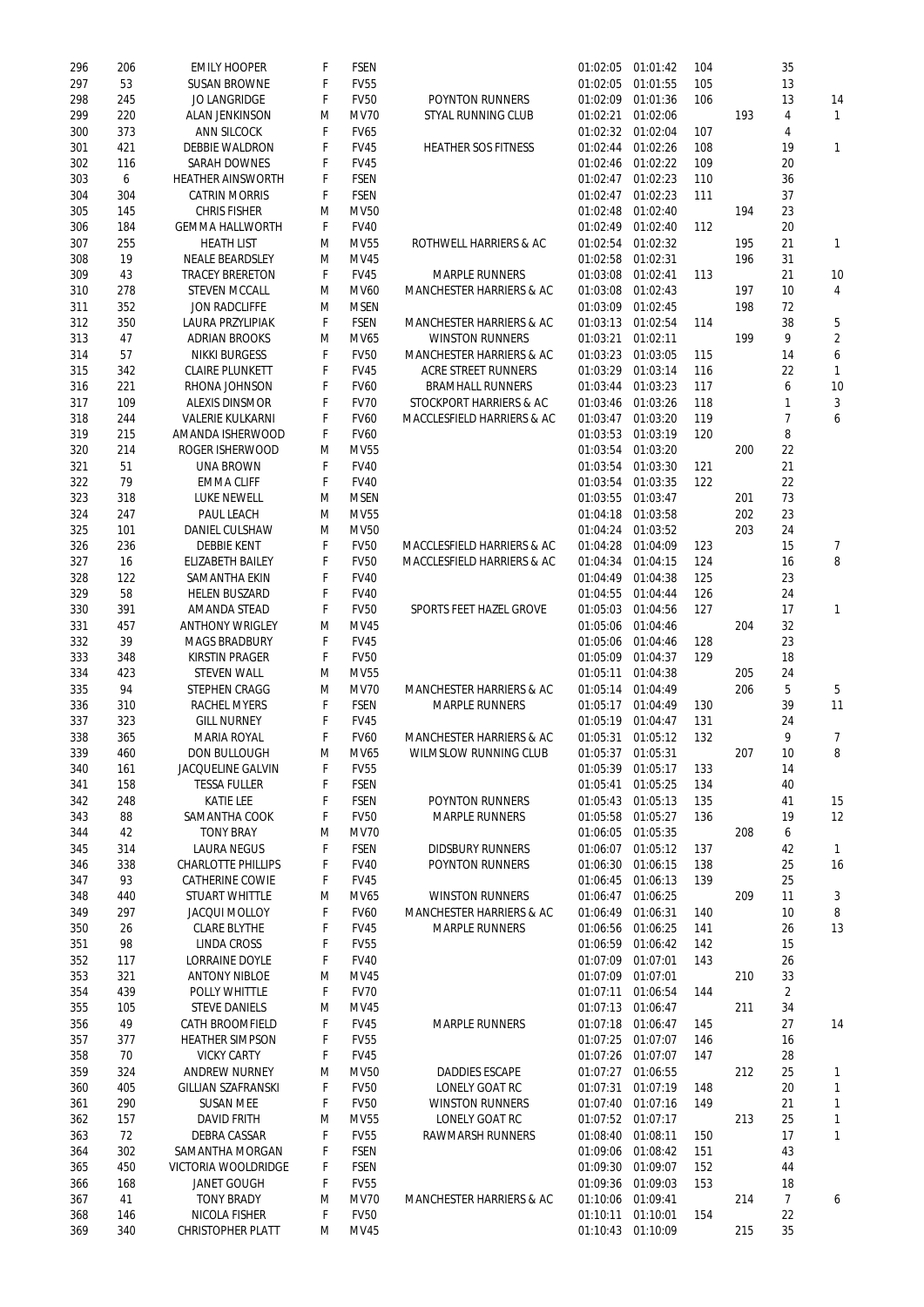| 296 | 206 | <b>EMILY HOOPER</b>        | F  | <b>FSEN</b> |                                     | 01:02:05 | 01:01:42          | 104 |     | 35             |                |
|-----|-----|----------------------------|----|-------------|-------------------------------------|----------|-------------------|-----|-----|----------------|----------------|
| 297 | 53  | <b>SUSAN BROWNE</b>        | F  | <b>FV55</b> |                                     | 01:02:05 | 01:01:55          | 105 |     | 13             |                |
| 298 | 245 | <b>JO LANGRIDGE</b>        | F  | <b>FV50</b> | <b>POYNTON RUNNERS</b>              | 01:02:09 | 01:01:36          | 106 |     | 13             | 14             |
| 299 | 220 | <b>ALAN JENKINSON</b>      | M  | <b>MV70</b> | <b>STYAL RUNNING CLUB</b>           | 01:02:21 | 01:02:06          |     | 193 | 4              | 1              |
| 300 | 373 | <b>ANN SILCOCK</b>         | F  | <b>FV65</b> |                                     | 01:02:32 | 01:02:04          | 107 |     | 4              |                |
| 301 | 421 | <b>DEBBIE WALDRON</b>      | F  | <b>FV45</b> | <b>HEATHER SOS FITNESS</b>          | 01:02:44 | 01:02:26          | 108 |     | 19             | 1              |
| 302 | 116 | <b>SARAH DOWNES</b>        | F  | <b>FV45</b> |                                     | 01:02:46 | 01:02:22          | 109 |     | 20             |                |
|     |     |                            |    |             |                                     |          |                   |     |     |                |                |
| 303 | 6   | <b>HEATHER AINSWORTH</b>   | F  | <b>FSEN</b> |                                     | 01:02:47 | 01:02:23          | 110 |     | 36             |                |
| 304 | 304 | <b>CATRIN MORRIS</b>       | F  | <b>FSEN</b> |                                     | 01:02:47 | 01:02:23          | 111 |     | 37             |                |
| 305 | 145 | <b>CHRIS FISHER</b>        | M  | <b>MV50</b> |                                     | 01:02:48 | 01:02:40          |     | 194 | 23             |                |
| 306 | 184 | <b>GEMMA HALLWORTH</b>     | F  | <b>FV40</b> |                                     | 01:02:49 | 01:02:40          | 112 |     | 20             |                |
| 307 | 255 | <b>HEATH LIST</b>          | M  | <b>MV55</b> | <b>ROTHWELL HARRIERS &amp; AC</b>   | 01:02:54 | 01:02:32          |     | 195 | 21             | 1              |
| 308 | 19  | <b>NEALE BEARDSLEY</b>     | M  | <b>MV45</b> |                                     | 01:02:58 | 01:02:31          |     | 196 | 31             |                |
| 309 | 43  | <b>TRACEY BRERETON</b>     | F  | <b>FV45</b> | <b>MARPLE RUNNERS</b>               | 01:03:08 | 01:02:41          | 113 |     | 21             | 10             |
|     |     |                            |    | <b>MV60</b> |                                     |          | 01:02:43          |     | 197 | 10             |                |
| 310 | 278 | <b>STEVEN MCCALL</b>       | M  |             | <b>MANCHESTER HARRIERS &amp; AC</b> | 01:03:08 |                   |     |     |                | 4              |
| 311 | 352 | <b>JON RADCLIFFE</b>       | M  | <b>MSEN</b> |                                     | 01:03:09 | 01:02:45          |     | 198 | 72             |                |
| 312 | 350 | <b>LAURA PRZYLIPIAK</b>    | F  | <b>FSEN</b> | <b>MANCHESTER HARRIERS &amp; AC</b> | 01:03:13 | 01:02:54          | 114 |     | 38             | 5              |
| 313 | 47  | <b>ADRIAN BROOKS</b>       | M  | <b>MV65</b> | <b>WINSTON RUNNERS</b>              | 01:03:21 | 01:02:11          |     | 199 | 9              | $\overline{2}$ |
| 314 | 57  | <b>NIKKI BURGESS</b>       | F  | <b>FV50</b> | <b>MANCHESTER HARRIERS &amp; AC</b> | 01:03:23 | 01:03:05          | 115 |     | 14             | 6              |
| 315 | 342 | <b>CLAIRE PLUNKETT</b>     | F  | <b>FV45</b> | <b>ACRE STREET RUNNERS</b>          | 01:03:29 | 01:03:14          | 116 |     | 22             | 1              |
| 316 | 221 | RHONA JOHNSON              | F  | <b>FV60</b> | <b>BRAMHALL RUNNERS</b>             | 01:03:44 | 01:03:23          | 117 |     | 6              | 10             |
| 317 | 109 | <b>ALEXIS DINSMOR</b>      | F  | <b>FV70</b> | STOCKPORT HARRIERS & AC             | 01:03:46 | 01:03:26          | 118 |     | 1              | 3              |
| 318 | 244 | <b>VALERIE KULKARNI</b>    | F  | <b>FV60</b> | MACCLESFIELD HARRIERS & AC          | 01:03:47 | 01:03:20          | 119 |     | 7              | 6              |
|     |     |                            |    |             |                                     |          |                   |     |     |                |                |
| 319 | 215 | AMANDA ISHERWOOD           | F  | <b>FV60</b> |                                     | 01:03:53 | 01:03:19          | 120 |     | 8              |                |
| 320 | 214 | <b>ROGER ISHERWOOD</b>     | M  | <b>MV55</b> |                                     | 01:03:54 | 01:03:20          |     | 200 | 22             |                |
| 321 | 51  | <b>UNA BROWN</b>           | F  | <b>FV40</b> |                                     | 01:03:54 | 01:03:30          | 121 |     | 21             |                |
| 322 | 79  | <b>EMMA CLIFF</b>          | F  | <b>FV40</b> |                                     | 01:03:54 | 01:03:35          | 122 |     | 22             |                |
| 323 | 318 | <b>LUKE NEWELL</b>         | M  | <b>MSEN</b> |                                     | 01:03:55 | 01:03:47          |     | 201 | 73             |                |
| 324 | 247 | <b>PAUL LEACH</b>          | M  | <b>MV55</b> |                                     | 01:04:18 | 01:03:58          |     | 202 | 23             |                |
| 325 | 101 | <b>DANIEL CULSHAW</b>      | M  | <b>MV50</b> |                                     | 01:04:24 | 01:03:52          |     | 203 | 24             |                |
| 326 | 236 | <b>DEBBIE KENT</b>         | F  | <b>FV50</b> | MACCLESFIELD HARRIERS & AC          | 01:04:28 | 01:04:09          | 123 |     | 15             | 7              |
|     |     |                            |    |             |                                     |          |                   |     |     |                |                |
| 327 | 16  | <b>ELIZABETH BAILEY</b>    | F  | <b>FV50</b> | MACCLESFIELD HARRIERS & AC          | 01:04:34 | 01:04:15          | 124 |     | 16             | 8              |
| 328 | 122 | <b>SAMANTHA EKIN</b>       | F  | <b>FV40</b> |                                     | 01:04:49 | 01:04:38          | 125 |     | 23             |                |
| 329 | 58  | <b>HELEN BUSZARD</b>       | F  | <b>FV40</b> |                                     | 01:04:55 | 01:04:44          | 126 |     | 24             |                |
| 330 | 391 | <b>AMANDA STEAD</b>        | F  | <b>FV50</b> | <b>SPORTS FEET HAZEL GROVE</b>      | 01:05:03 | 01:04:56          | 127 |     | 17             | $\mathbf{1}$   |
| 331 | 457 | <b>ANTHONY WRIGLEY</b>     | M  | <b>MV45</b> |                                     | 01:05:06 | 01:04:46          |     | 204 | 32             |                |
| 332 | 39  | <b>MAGS BRADBURY</b>       | F  | <b>FV45</b> |                                     | 01:05:06 | 01:04:46          | 128 |     | 23             |                |
| 333 | 348 | <b>KIRSTIN PRAGER</b>      | F  | <b>FV50</b> |                                     | 01:05:09 | 01:04:37          | 129 |     | 18             |                |
| 334 | 423 | <b>STEVEN WALL</b>         | M  | <b>MV55</b> |                                     | 01:05:11 | 01:04:38          |     | 205 | 24             |                |
| 335 | 94  | <b>STEPHEN CRAGG</b>       | M  | <b>MV70</b> | <b>MANCHESTER HARRIERS &amp; AC</b> | 01:05:14 | 01:04:49          |     | 206 | 5              | 5              |
| 336 | 310 | <b>RACHEL MYERS</b>        |    | <b>FSEN</b> | <b>MARPLE RUNNERS</b>               |          | 01:04:49          | 130 |     | 39             | 11             |
|     |     |                            | F  |             |                                     | 01:05:17 |                   |     |     |                |                |
| 337 | 323 | <b>GILL NURNEY</b>         | F  | <b>FV45</b> |                                     | 01:05:19 | 01:04:47          | 131 |     | 24             |                |
| 338 | 365 | <b>MARIA ROYAL</b>         | F  | <b>FV60</b> | <b>MANCHESTER HARRIERS &amp; AC</b> | 01:05:31 | 01:05:12          | 132 |     | 9              | $\overline{7}$ |
| 339 | 460 | <b>DON BULLOUGH</b>        | M  | MV65        | <b>WILMSLOW RUNNING CLUB</b>        | 01:05:37 | 01:05:31          |     | 207 | 10             | 8              |
| 340 | 161 | <b>JACQUELINE GALVIN</b>   | F  | <b>FV55</b> |                                     | 01:05:39 | 01:05:17          | 133 |     | 14             |                |
| 341 | 158 | <b>TESSA FULLER</b>        | F  | <b>FSEN</b> |                                     | 01:05:41 | 01:05:25          | 134 |     | 40             |                |
| 342 | 248 | <b>KATIE LEE</b>           | F  | <b>FSEN</b> | <b>POYNTON RUNNERS</b>              | 01:05:43 | 01:05:13          | 135 |     | 41             | 15             |
| 343 | 88  | <b>SAMANTHA COOK</b>       | F  | <b>FV50</b> | <b>MARPLE RUNNERS</b>               | 01:05:58 | 01:05:27          | 136 |     | 19             | 12             |
| 344 | 42  | <b>TONY BRAY</b>           | M  | <b>MV70</b> |                                     | 01:06:05 | 01:05:35          |     | 208 | 6              |                |
|     |     |                            |    |             |                                     |          |                   |     |     |                |                |
| 345 | 314 | <b>LAURA NEGUS</b>         | F  | <b>FSEN</b> | <b>DIDSBURY RUNNERS</b>             | 01:06:07 | 01:05:12          | 137 |     | 42             | 1              |
| 346 | 338 | <b>CHARLOTTE PHILLIPS</b>  | F  | <b>FV40</b> | <b>POYNTON RUNNERS</b>              | 01:06:30 | 01:06:15          | 138 |     | 25             | 16             |
| 347 | 93  | <b>CATHERINE COWIE</b>     | F  | <b>FV45</b> |                                     | 01:06:45 | 01:06:13          | 139 |     | 25             |                |
| 348 | 440 | <b>STUART WHITTLE</b>      | M  | MV65        | <b>WINSTON RUNNERS</b>              | 01:06:47 | 01:06:25          |     | 209 | 11             | 3              |
| 349 | 297 | <b>JACQUI MOLLOY</b>       | F  | <b>FV60</b> | <b>MANCHESTER HARRIERS &amp; AC</b> | 01:06:49 | 01:06:31          | 140 |     | 10             | 8              |
| 350 | 26  | <b>CLARE BLYTHE</b>        | F  | <b>FV45</b> | <b>MARPLE RUNNERS</b>               | 01:06:56 | 01:06:25          | 141 |     | 26             | 13             |
| 351 | 98  | <b>LINDA CROSS</b>         | F  | <b>FV55</b> |                                     | 01:06:59 | 01:06:42          | 142 |     | 15             |                |
| 352 | 117 | <b>LORRAINE DOYLE</b>      | F  | <b>FV40</b> |                                     | 01:07:09 | 01:07:01          | 143 |     | 26             |                |
| 353 | 321 | <b>ANTONY NIBLOE</b>       | M  | <b>MV45</b> |                                     | 01:07:09 | 01:07:01          |     | 210 | 33             |                |
| 354 | 439 | <b>POLLY WHITTLE</b>       | F  | <b>FV70</b> |                                     | 01:07:11 | 01:06:54          | 144 |     | $\overline{2}$ |                |
|     |     |                            |    |             |                                     |          |                   |     |     |                |                |
| 355 | 105 | <b>STEVE DANIELS</b>       | M  | MV45        |                                     | 01:07:13 | 01:06:47          |     | 211 | 34             |                |
| 356 | 49  | <b>CATH BROOMFIELD</b>     | F  | <b>FV45</b> | <b>MARPLE RUNNERS</b>               | 01:07:18 | 01:06:47          | 145 |     | 27             | 14             |
| 357 | 377 | <b>HEATHER SIMPSON</b>     | F  | <b>FV55</b> |                                     | 01:07:25 | 01:07:07          | 146 |     | 16             |                |
| 358 | 70  | <b>VICKY CARTY</b>         | F. | <b>FV45</b> |                                     |          | 01:07:26 01:07:07 | 147 |     | 28             |                |
| 359 | 324 | <b>ANDREW NURNEY</b>       | M  | <b>MV50</b> | <b>DADDIES ESCAPE</b>               | 01:07:27 | 01:06:55          |     | 212 | 25             | 1              |
| 360 | 405 | <b>GILLIAN SZAFRANSKI</b>  | F. | <b>FV50</b> | <b>LONELY GOAT RC</b>               | 01:07:31 | 01:07:19          | 148 |     | 20             | 1              |
| 361 | 290 | <b>SUSAN MEE</b>           | F  | <b>FV50</b> | <b>WINSTON RUNNERS</b>              |          | 01:07:40 01:07:16 | 149 |     | 21             | 1              |
| 362 | 157 | <b>DAVID FRITH</b>         | M  | <b>MV55</b> | <b>LONELY GOAT RC</b>               | 01:07:52 | 01:07:17          |     | 213 | 25             | 1              |
| 363 | 72  | <b>DEBRA CASSAR</b>        | F  | <b>FV55</b> | <b>RAWMARSH RUNNERS</b>             | 01:08:40 | 01:08:11          | 150 |     | 17             | 1              |
|     |     |                            |    |             |                                     |          |                   |     |     |                |                |
| 364 | 302 | <b>SAMANTHA MORGAN</b>     | F. | <b>FSEN</b> |                                     | 01:09:06 | 01:08:42          | 151 |     | 43             |                |
| 365 | 450 | <b>VICTORIA WOOLDRIDGE</b> | F. | <b>FSEN</b> |                                     | 01:09:30 | 01:09:07          | 152 |     | 44             |                |
| 366 | 168 | <b>JANET GOUGH</b>         | F  | <b>FV55</b> |                                     |          | 01:09:36 01:09:03 | 153 |     | 18             |                |
| 367 | 41  | <b>TONY BRADY</b>          | M  | <b>MV70</b> | <b>MANCHESTER HARRIERS &amp; AC</b> | 01:10:06 | 01:09:41          |     | 214 | $\overline{7}$ | 6              |
| 368 | 146 | <b>NICOLA FISHER</b>       | F  | <b>FV50</b> |                                     | 01:10:11 | 01:10:01          | 154 |     | 22             |                |
| 369 | 340 | <b>CHRISTOPHER PLATT</b>   | M  | <b>MV45</b> |                                     | 01:10:43 | 01:10:09          |     | 215 | 35             |                |